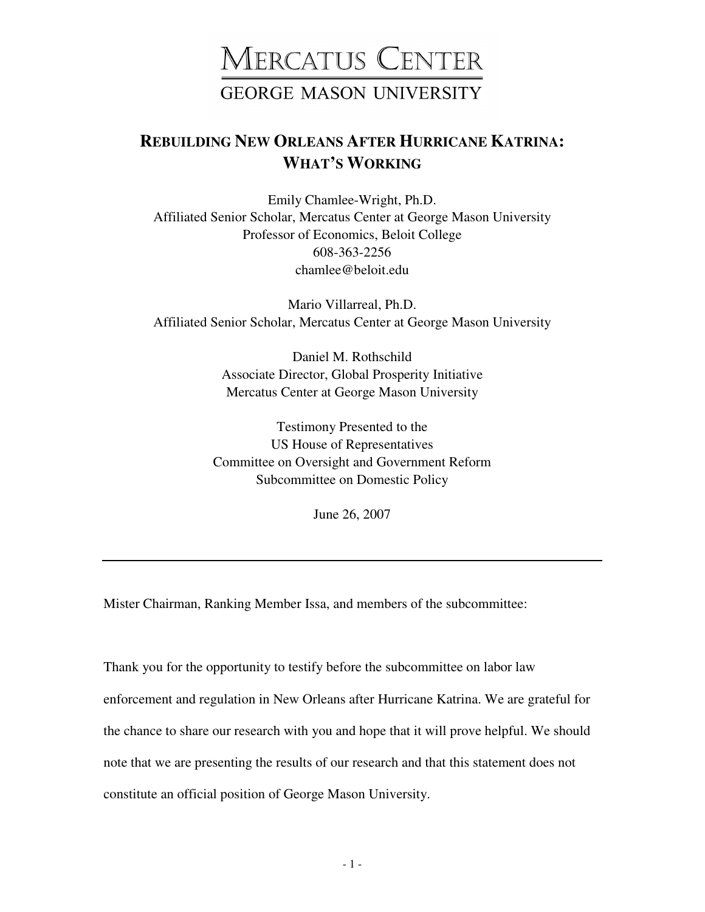## MERCATUS CENTER **GEORGE MASON UNIVERSITY**

## **REBUILDING NEW ORLEANS AFTER HURRICANE KATRINA: WHAT'S WORKING**

Emily Chamlee-Wright, Ph.D. Affiliated Senior Scholar, Mercatus Center at George Mason University Professor of Economics, Beloit College 608-363-2256 chamlee@beloit.edu

Mario Villarreal, Ph.D. Affiliated Senior Scholar, Mercatus Center at George Mason University

> Daniel M. Rothschild Associate Director, Global Prosperity Initiative Mercatus Center at George Mason University

Testimony Presented to the US House of Representatives Committee on Oversight and Government Reform Subcommittee on Domestic Policy

June 26, 2007

Mister Chairman, Ranking Member Issa, and members of the subcommittee:

Thank you for the opportunity to testify before the subcommittee on labor law enforcement and regulation in New Orleans after Hurricane Katrina. We are grateful for the chance to share our research with you and hope that it will prove helpful. We should note that we are presenting the results of our research and that this statement does not constitute an official position of George Mason University.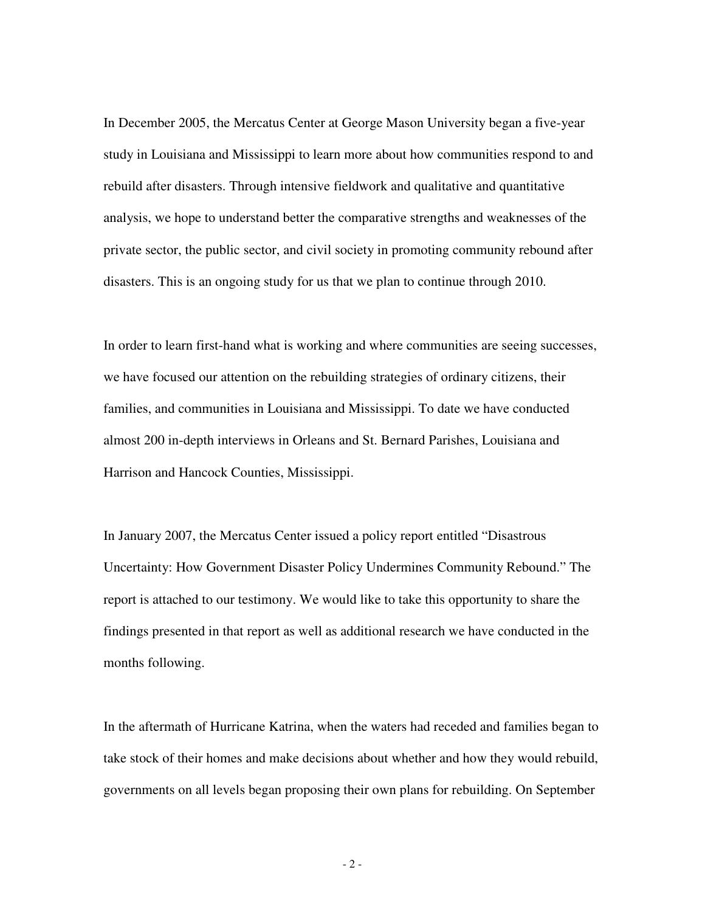In December 2005, the Mercatus Center at George Mason University began a five-year study in Louisiana and Mississippi to learn more about how communities respond to and rebuild after disasters. Through intensive fieldwork and qualitative and quantitative analysis, we hope to understand better the comparative strengths and weaknesses of the private sector, the public sector, and civil society in promoting community rebound after disasters. This is an ongoing study for us that we plan to continue through 2010.

In order to learn first-hand what is working and where communities are seeing successes, we have focused our attention on the rebuilding strategies of ordinary citizens, their families, and communities in Louisiana and Mississippi. To date we have conducted almost 200 in-depth interviews in Orleans and St. Bernard Parishes, Louisiana and Harrison and Hancock Counties, Mississippi.

In January 2007, the Mercatus Center issued a policy report entitled "Disastrous Uncertainty: How Government Disaster Policy Undermines Community Rebound." The report is attached to our testimony. We would like to take this opportunity to share the findings presented in that report as well as additional research we have conducted in the months following.

In the aftermath of Hurricane Katrina, when the waters had receded and families began to take stock of their homes and make decisions about whether and how they would rebuild, governments on all levels began proposing their own plans for rebuilding. On September

- 2 -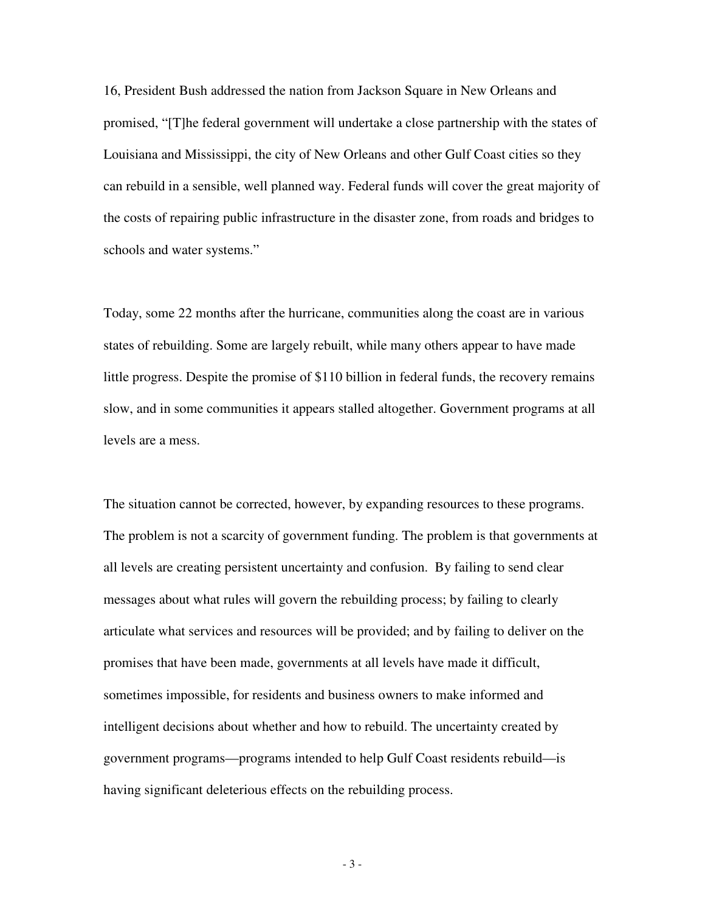16, President Bush addressed the nation from Jackson Square in New Orleans and promised, "[T]he federal government will undertake a close partnership with the states of Louisiana and Mississippi, the city of New Orleans and other Gulf Coast cities so they can rebuild in a sensible, well planned way. Federal funds will cover the great majority of the costs of repairing public infrastructure in the disaster zone, from roads and bridges to schools and water systems."

Today, some 22 months after the hurricane, communities along the coast are in various states of rebuilding. Some are largely rebuilt, while many others appear to have made little progress. Despite the promise of \$110 billion in federal funds, the recovery remains slow, and in some communities it appears stalled altogether. Government programs at all levels are a mess.

The situation cannot be corrected, however, by expanding resources to these programs. The problem is not a scarcity of government funding. The problem is that governments at all levels are creating persistent uncertainty and confusion. By failing to send clear messages about what rules will govern the rebuilding process; by failing to clearly articulate what services and resources will be provided; and by failing to deliver on the promises that have been made, governments at all levels have made it difficult, sometimes impossible, for residents and business owners to make informed and intelligent decisions about whether and how to rebuild. The uncertainty created by government programs—programs intended to help Gulf Coast residents rebuild—is having significant deleterious effects on the rebuilding process.

- 3 -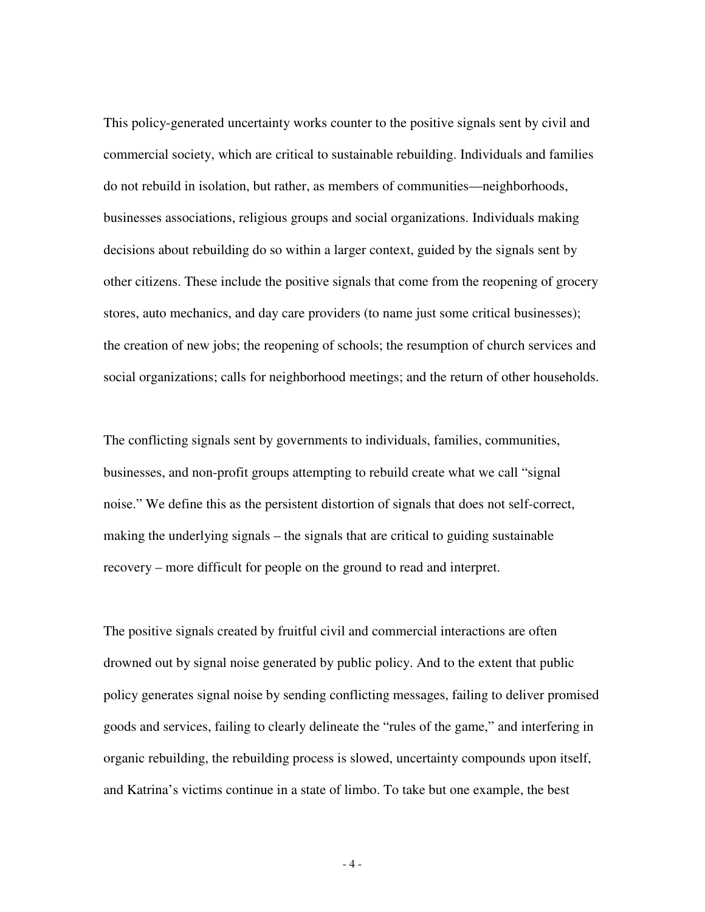This policy-generated uncertainty works counter to the positive signals sent by civil and commercial society, which are critical to sustainable rebuilding. Individuals and families do not rebuild in isolation, but rather, as members of communities—neighborhoods, businesses associations, religious groups and social organizations. Individuals making decisions about rebuilding do so within a larger context, guided by the signals sent by other citizens. These include the positive signals that come from the reopening of grocery stores, auto mechanics, and day care providers (to name just some critical businesses); the creation of new jobs; the reopening of schools; the resumption of church services and social organizations; calls for neighborhood meetings; and the return of other households.

The conflicting signals sent by governments to individuals, families, communities, businesses, and non-profit groups attempting to rebuild create what we call "signal noise." We define this as the persistent distortion of signals that does not self-correct, making the underlying signals – the signals that are critical to guiding sustainable recovery – more difficult for people on the ground to read and interpret.

The positive signals created by fruitful civil and commercial interactions are often drowned out by signal noise generated by public policy. And to the extent that public policy generates signal noise by sending conflicting messages, failing to deliver promised goods and services, failing to clearly delineate the "rules of the game," and interfering in organic rebuilding, the rebuilding process is slowed, uncertainty compounds upon itself, and Katrina's victims continue in a state of limbo. To take but one example, the best

- 4 -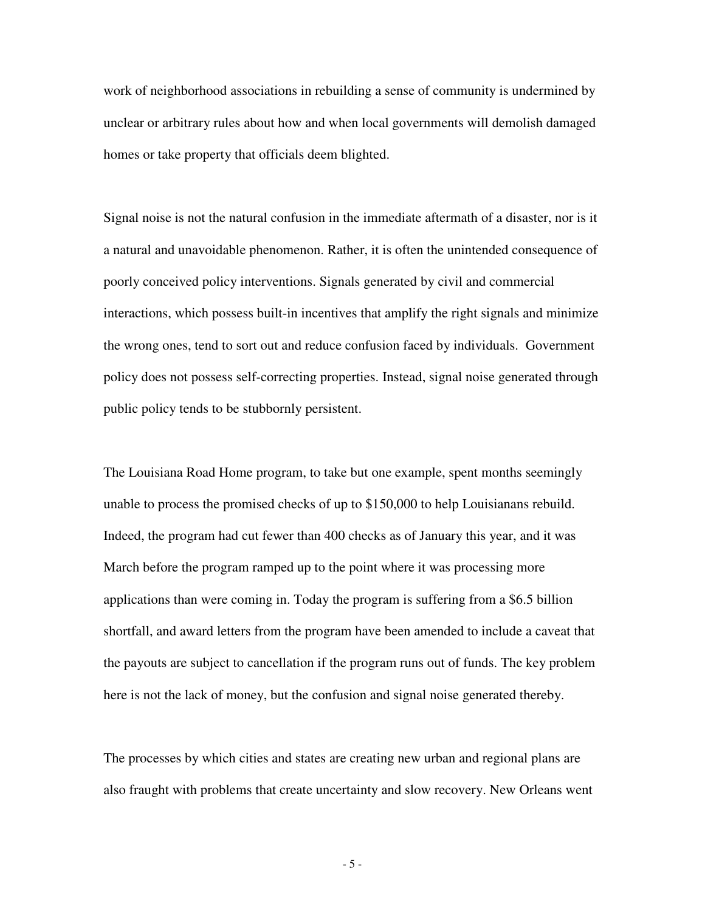work of neighborhood associations in rebuilding a sense of community is undermined by unclear or arbitrary rules about how and when local governments will demolish damaged homes or take property that officials deem blighted.

Signal noise is not the natural confusion in the immediate aftermath of a disaster, nor is it a natural and unavoidable phenomenon. Rather, it is often the unintended consequence of poorly conceived policy interventions. Signals generated by civil and commercial interactions, which possess built-in incentives that amplify the right signals and minimize the wrong ones, tend to sort out and reduce confusion faced by individuals. Government policy does not possess self-correcting properties. Instead, signal noise generated through public policy tends to be stubbornly persistent.

The Louisiana Road Home program, to take but one example, spent months seemingly unable to process the promised checks of up to \$150,000 to help Louisianans rebuild. Indeed, the program had cut fewer than 400 checks as of January this year, and it was March before the program ramped up to the point where it was processing more applications than were coming in. Today the program is suffering from a \$6.5 billion shortfall, and award letters from the program have been amended to include a caveat that the payouts are subject to cancellation if the program runs out of funds. The key problem here is not the lack of money, but the confusion and signal noise generated thereby.

The processes by which cities and states are creating new urban and regional plans are also fraught with problems that create uncertainty and slow recovery. New Orleans went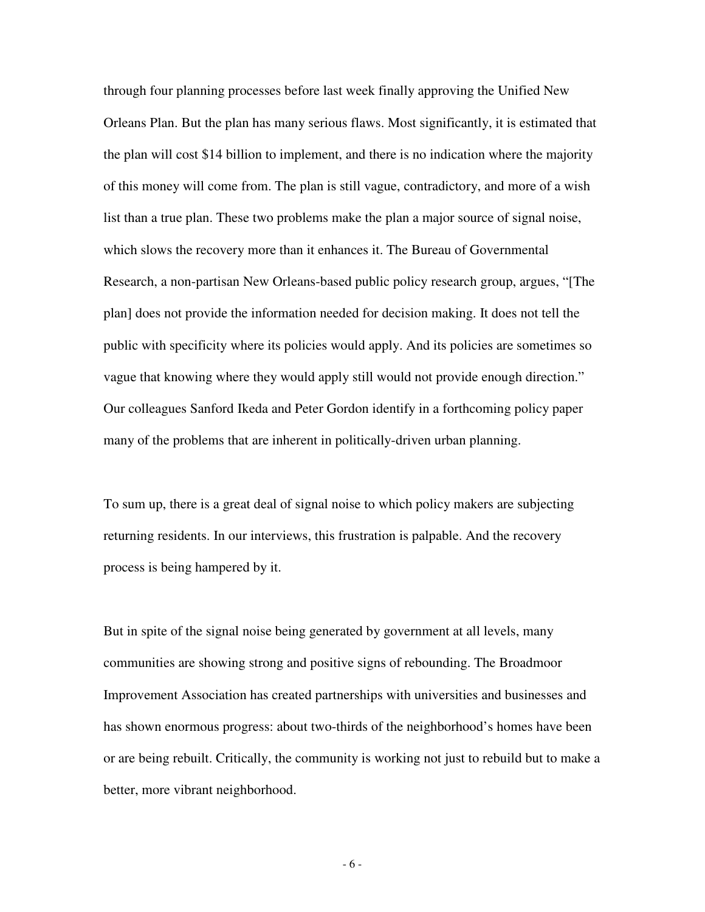through four planning processes before last week finally approving the Unified New Orleans Plan. But the plan has many serious flaws. Most significantly, it is estimated that the plan will cost \$14 billion to implement, and there is no indication where the majority of this money will come from. The plan is still vague, contradictory, and more of a wish list than a true plan. These two problems make the plan a major source of signal noise, which slows the recovery more than it enhances it. The Bureau of Governmental Research, a non-partisan New Orleans-based public policy research group, argues, "[The plan] does not provide the information needed for decision making. It does not tell the public with specificity where its policies would apply. And its policies are sometimes so vague that knowing where they would apply still would not provide enough direction." Our colleagues Sanford Ikeda and Peter Gordon identify in a forthcoming policy paper many of the problems that are inherent in politically-driven urban planning.

To sum up, there is a great deal of signal noise to which policy makers are subjecting returning residents. In our interviews, this frustration is palpable. And the recovery process is being hampered by it.

But in spite of the signal noise being generated by government at all levels, many communities are showing strong and positive signs of rebounding. The Broadmoor Improvement Association has created partnerships with universities and businesses and has shown enormous progress: about two-thirds of the neighborhood's homes have been or are being rebuilt. Critically, the community is working not just to rebuild but to make a better, more vibrant neighborhood.

- 6 -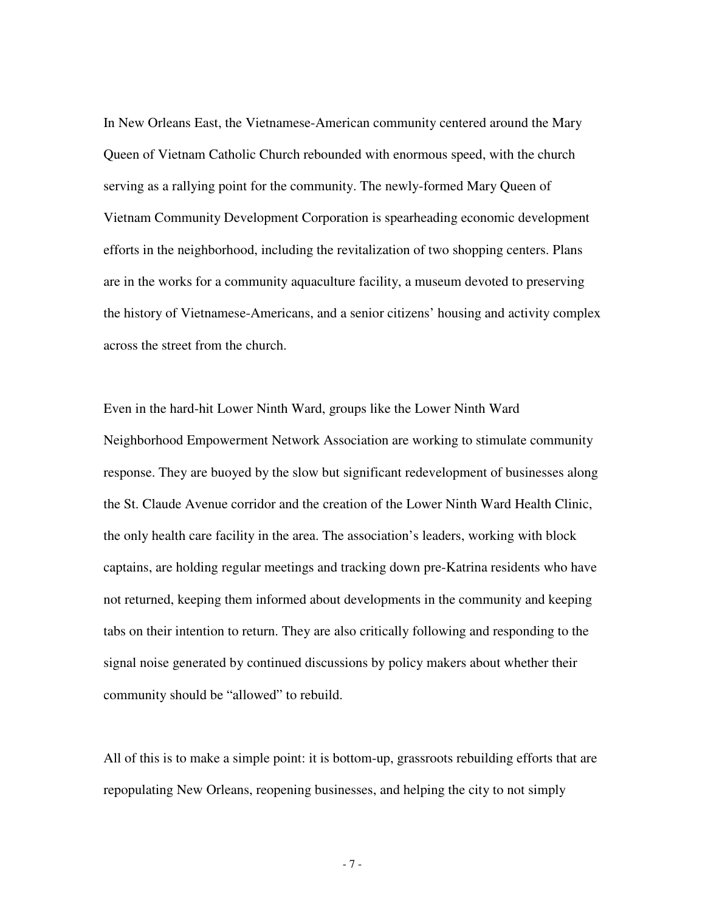In New Orleans East, the Vietnamese-American community centered around the Mary Queen of Vietnam Catholic Church rebounded with enormous speed, with the church serving as a rallying point for the community. The newly-formed Mary Queen of Vietnam Community Development Corporation is spearheading economic development efforts in the neighborhood, including the revitalization of two shopping centers. Plans are in the works for a community aquaculture facility, a museum devoted to preserving the history of Vietnamese-Americans, and a senior citizens' housing and activity complex across the street from the church.

Even in the hard-hit Lower Ninth Ward, groups like the Lower Ninth Ward Neighborhood Empowerment Network Association are working to stimulate community response. They are buoyed by the slow but significant redevelopment of businesses along the St. Claude Avenue corridor and the creation of the Lower Ninth Ward Health Clinic, the only health care facility in the area. The association's leaders, working with block captains, are holding regular meetings and tracking down pre-Katrina residents who have not returned, keeping them informed about developments in the community and keeping tabs on their intention to return. They are also critically following and responding to the signal noise generated by continued discussions by policy makers about whether their community should be "allowed" to rebuild.

All of this is to make a simple point: it is bottom-up, grassroots rebuilding efforts that are repopulating New Orleans, reopening businesses, and helping the city to not simply

- 7 -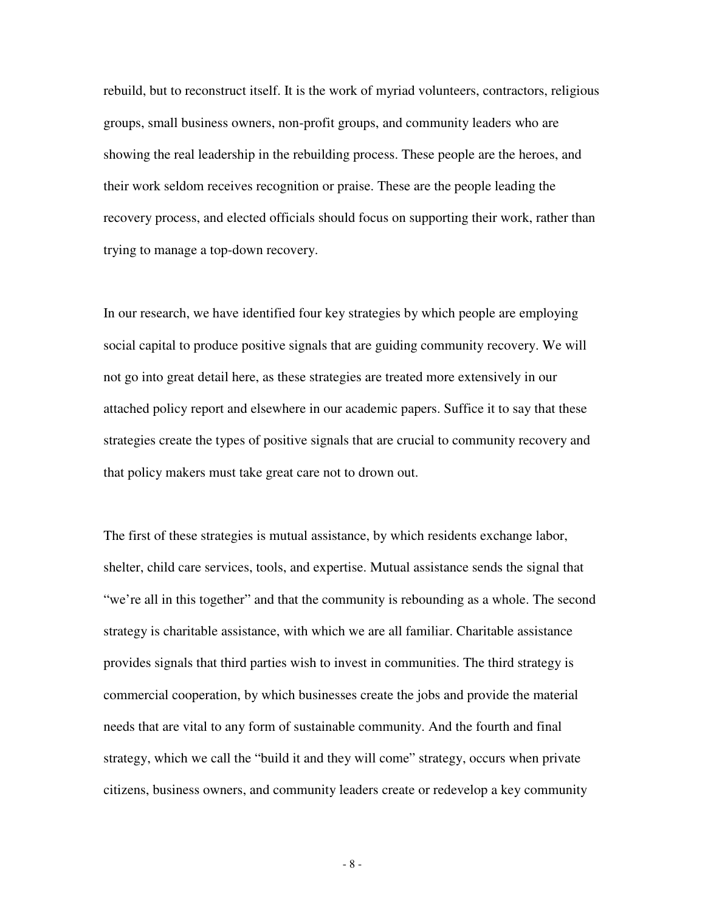rebuild, but to reconstruct itself. It is the work of myriad volunteers, contractors, religious groups, small business owners, non-profit groups, and community leaders who are showing the real leadership in the rebuilding process. These people are the heroes, and their work seldom receives recognition or praise. These are the people leading the recovery process, and elected officials should focus on supporting their work, rather than trying to manage a top-down recovery.

In our research, we have identified four key strategies by which people are employing social capital to produce positive signals that are guiding community recovery. We will not go into great detail here, as these strategies are treated more extensively in our attached policy report and elsewhere in our academic papers. Suffice it to say that these strategies create the types of positive signals that are crucial to community recovery and that policy makers must take great care not to drown out.

The first of these strategies is mutual assistance, by which residents exchange labor, shelter, child care services, tools, and expertise. Mutual assistance sends the signal that "we're all in this together" and that the community is rebounding as a whole. The second strategy is charitable assistance, with which we are all familiar. Charitable assistance provides signals that third parties wish to invest in communities. The third strategy is commercial cooperation, by which businesses create the jobs and provide the material needs that are vital to any form of sustainable community. And the fourth and final strategy, which we call the "build it and they will come" strategy, occurs when private citizens, business owners, and community leaders create or redevelop a key community

- 8 -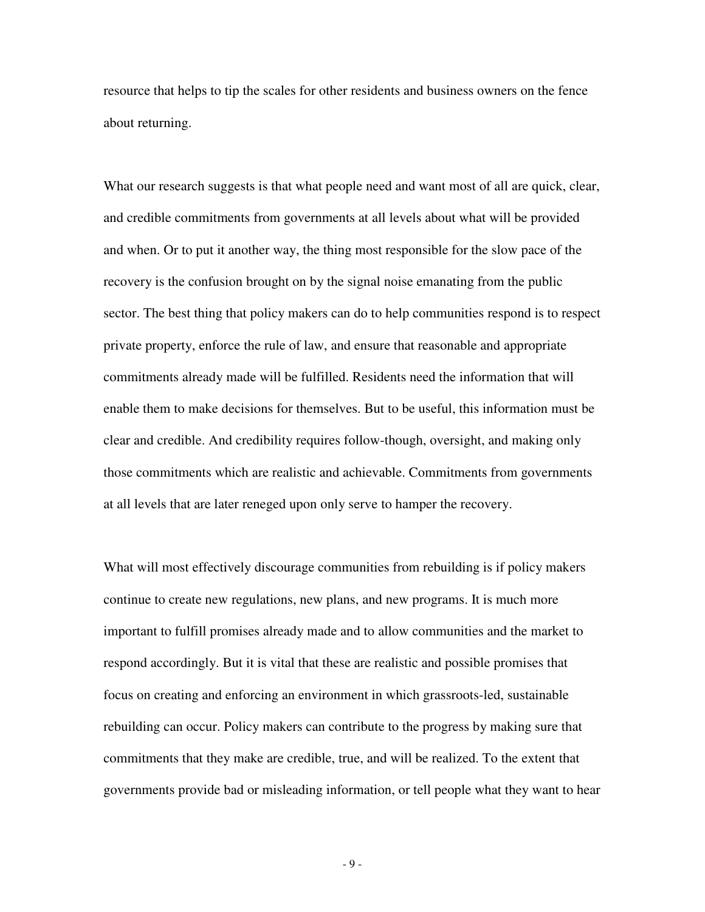resource that helps to tip the scales for other residents and business owners on the fence about returning.

What our research suggests is that what people need and want most of all are quick, clear, and credible commitments from governments at all levels about what will be provided and when. Or to put it another way, the thing most responsible for the slow pace of the recovery is the confusion brought on by the signal noise emanating from the public sector. The best thing that policy makers can do to help communities respond is to respect private property, enforce the rule of law, and ensure that reasonable and appropriate commitments already made will be fulfilled. Residents need the information that will enable them to make decisions for themselves. But to be useful, this information must be clear and credible. And credibility requires follow-though, oversight, and making only those commitments which are realistic and achievable. Commitments from governments at all levels that are later reneged upon only serve to hamper the recovery.

What will most effectively discourage communities from rebuilding is if policy makers continue to create new regulations, new plans, and new programs. It is much more important to fulfill promises already made and to allow communities and the market to respond accordingly. But it is vital that these are realistic and possible promises that focus on creating and enforcing an environment in which grassroots-led, sustainable rebuilding can occur. Policy makers can contribute to the progress by making sure that commitments that they make are credible, true, and will be realized. To the extent that governments provide bad or misleading information, or tell people what they want to hear

- 9 -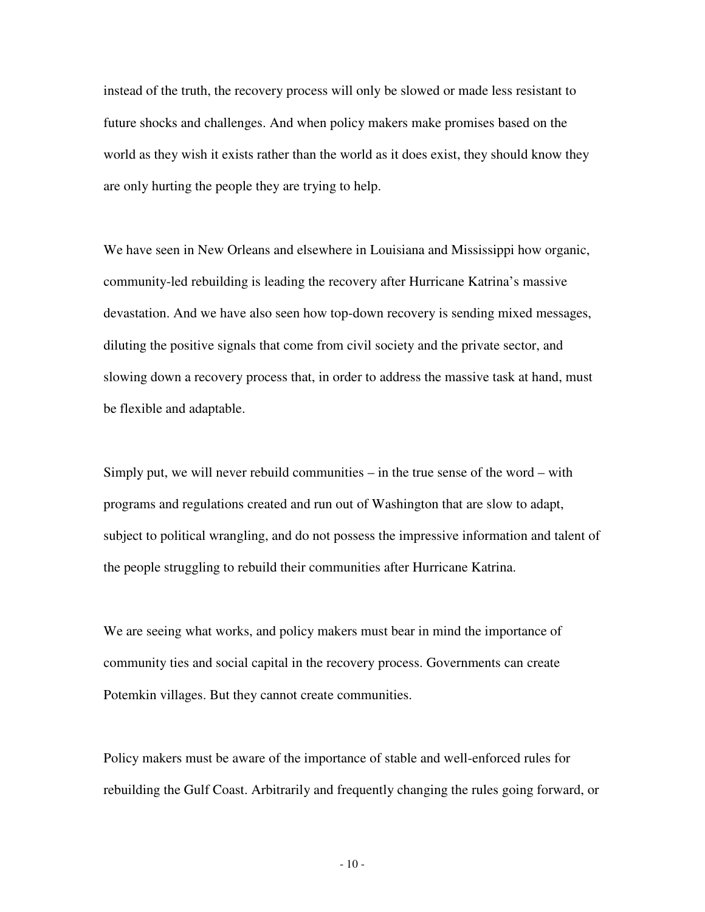instead of the truth, the recovery process will only be slowed or made less resistant to future shocks and challenges. And when policy makers make promises based on the world as they wish it exists rather than the world as it does exist, they should know they are only hurting the people they are trying to help.

We have seen in New Orleans and elsewhere in Louisiana and Mississippi how organic, community-led rebuilding is leading the recovery after Hurricane Katrina's massive devastation. And we have also seen how top-down recovery is sending mixed messages, diluting the positive signals that come from civil society and the private sector, and slowing down a recovery process that, in order to address the massive task at hand, must be flexible and adaptable.

Simply put, we will never rebuild communities – in the true sense of the word – with programs and regulations created and run out of Washington that are slow to adapt, subject to political wrangling, and do not possess the impressive information and talent of the people struggling to rebuild their communities after Hurricane Katrina.

We are seeing what works, and policy makers must bear in mind the importance of community ties and social capital in the recovery process. Governments can create Potemkin villages. But they cannot create communities.

Policy makers must be aware of the importance of stable and well-enforced rules for rebuilding the Gulf Coast. Arbitrarily and frequently changing the rules going forward, or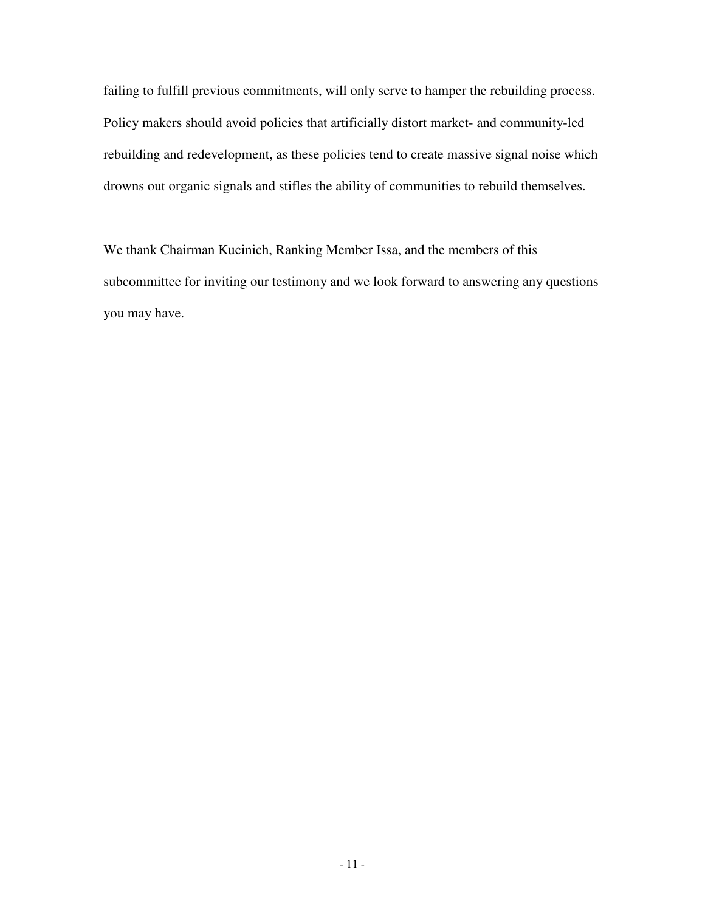failing to fulfill previous commitments, will only serve to hamper the rebuilding process. Policy makers should avoid policies that artificially distort market- and community-led rebuilding and redevelopment, as these policies tend to create massive signal noise which drowns out organic signals and stifles the ability of communities to rebuild themselves.

We thank Chairman Kucinich, Ranking Member Issa, and the members of this subcommittee for inviting our testimony and we look forward to answering any questions you may have.